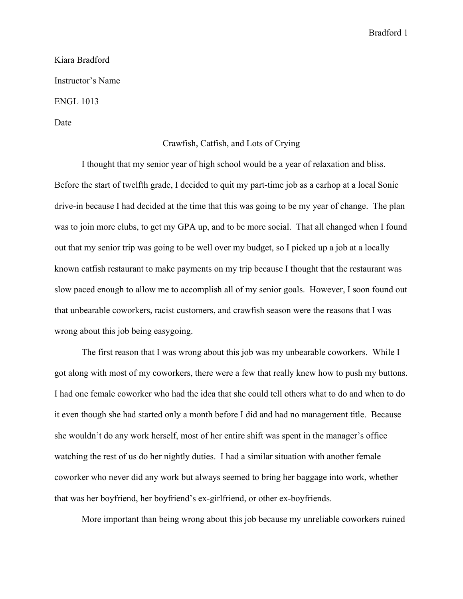Bradford 1

Kiara Bradford Instructor's Name ENGL 1013

Date

## Crawfish, Catfish, and Lots of Crying

I thought that my senior year of high school would be a year of relaxation and bliss. Before the start of twelfth grade, I decided to quit my part-time job as a carhop at a local Sonic drive-in because I had decided at the time that this was going to be my year of change. The plan was to join more clubs, to get my GPA up, and to be more social. That all changed when I found out that my senior trip was going to be well over my budget, so I picked up a job at a locally known catfish restaurant to make payments on my trip because I thought that the restaurant was slow paced enough to allow me to accomplish all of my senior goals. However, I soon found out that unbearable coworkers, racist customers, and crawfish season were the reasons that I was wrong about this job being easygoing.

The first reason that I was wrong about this job was my unbearable coworkers. While I got along with most of my coworkers, there were a few that really knew how to push my buttons. I had one female coworker who had the idea that she could tell others what to do and when to do it even though she had started only a month before I did and had no management title. Because she wouldn't do any work herself, most of her entire shift was spent in the manager's office watching the rest of us do her nightly duties. I had a similar situation with another female coworker who never did any work but always seemed to bring her baggage into work, whether that was her boyfriend, her boyfriend's ex-girlfriend, or other ex-boyfriends.

More important than being wrong about this job because my unreliable coworkers ruined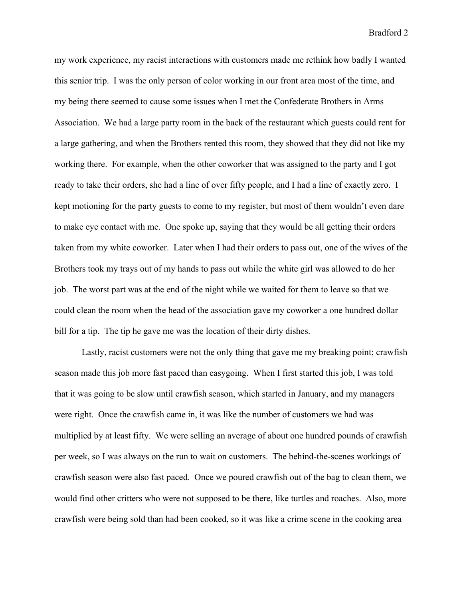Bradford 2

my work experience, my racist interactions with customers made me rethink how badly I wanted this senior trip. I was the only person of color working in our front area most of the time, and my being there seemed to cause some issues when I met the Confederate Brothers in Arms Association. We had a large party room in the back of the restaurant which guests could rent for a large gathering, and when the Brothers rented this room, they showed that they did not like my working there. For example, when the other coworker that was assigned to the party and I got ready to take their orders, she had a line of over fifty people, and I had a line of exactly zero. I kept motioning for the party guests to come to my register, but most of them wouldn't even dare to make eye contact with me. One spoke up, saying that they would be all getting their orders taken from my white coworker. Later when I had their orders to pass out, one of the wives of the Brothers took my trays out of my hands to pass out while the white girl was allowed to do her job. The worst part was at the end of the night while we waited for them to leave so that we could clean the room when the head of the association gave my coworker a one hundred dollar bill for a tip. The tip he gave me was the location of their dirty dishes.

Lastly, racist customers were not the only thing that gave me my breaking point; crawfish season made this job more fast paced than easygoing. When I first started this job, I was told that it was going to be slow until crawfish season, which started in January, and my managers were right. Once the crawfish came in, it was like the number of customers we had was multiplied by at least fifty. We were selling an average of about one hundred pounds of crawfish per week, so I was always on the run to wait on customers. The behind-the-scenes workings of crawfish season were also fast paced. Once we poured crawfish out of the bag to clean them, we would find other critters who were not supposed to be there, like turtles and roaches. Also, more crawfish were being sold than had been cooked, so it was like a crime scene in the cooking area